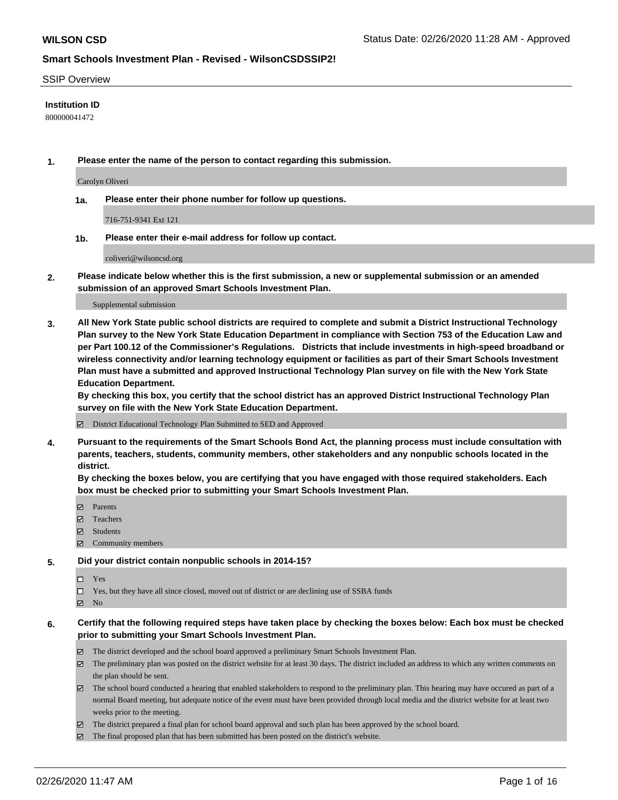#### SSIP Overview

### **Institution ID**

800000041472

**1. Please enter the name of the person to contact regarding this submission.**

Carolyn Oliveri

**1a. Please enter their phone number for follow up questions.**

716-751-9341 Ext 121

**1b. Please enter their e-mail address for follow up contact.**

coliveri@wilsoncsd.org

**2. Please indicate below whether this is the first submission, a new or supplemental submission or an amended submission of an approved Smart Schools Investment Plan.**

#### Supplemental submission

**3. All New York State public school districts are required to complete and submit a District Instructional Technology Plan survey to the New York State Education Department in compliance with Section 753 of the Education Law and per Part 100.12 of the Commissioner's Regulations. Districts that include investments in high-speed broadband or wireless connectivity and/or learning technology equipment or facilities as part of their Smart Schools Investment Plan must have a submitted and approved Instructional Technology Plan survey on file with the New York State Education Department.** 

**By checking this box, you certify that the school district has an approved District Instructional Technology Plan survey on file with the New York State Education Department.**

District Educational Technology Plan Submitted to SED and Approved

**4. Pursuant to the requirements of the Smart Schools Bond Act, the planning process must include consultation with parents, teachers, students, community members, other stakeholders and any nonpublic schools located in the district.** 

**By checking the boxes below, you are certifying that you have engaged with those required stakeholders. Each box must be checked prior to submitting your Smart Schools Investment Plan.**

- **マ** Parents
- Teachers
- Students
- Community members

#### **5. Did your district contain nonpublic schools in 2014-15?**

 $\neg$  Yes

Yes, but they have all since closed, moved out of district or are declining use of SSBA funds

**Z** No

### **6. Certify that the following required steps have taken place by checking the boxes below: Each box must be checked prior to submitting your Smart Schools Investment Plan.**

- The district developed and the school board approved a preliminary Smart Schools Investment Plan.
- $\boxtimes$  The preliminary plan was posted on the district website for at least 30 days. The district included an address to which any written comments on the plan should be sent.
- The school board conducted a hearing that enabled stakeholders to respond to the preliminary plan. This hearing may have occured as part of a normal Board meeting, but adequate notice of the event must have been provided through local media and the district website for at least two weeks prior to the meeting.
- The district prepared a final plan for school board approval and such plan has been approved by the school board.
- The final proposed plan that has been submitted has been posted on the district's website.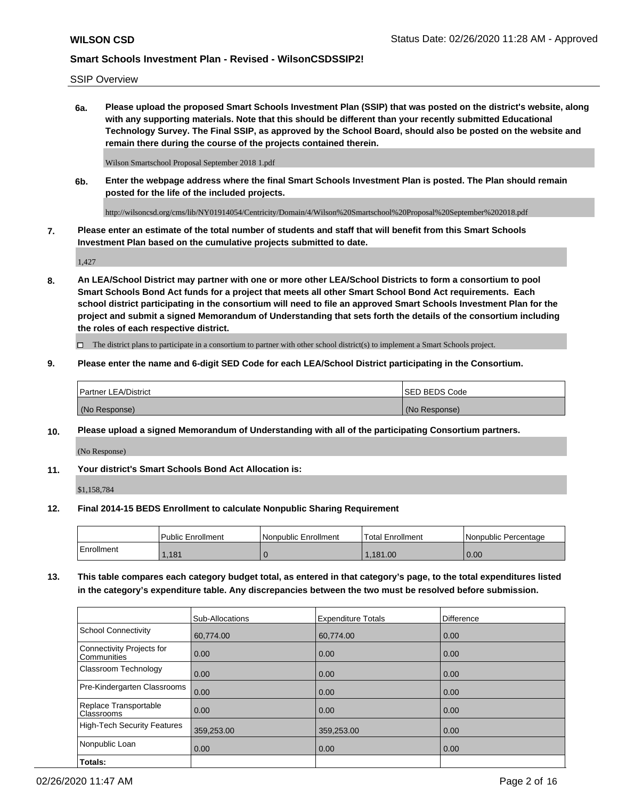SSIP Overview

**6a. Please upload the proposed Smart Schools Investment Plan (SSIP) that was posted on the district's website, along with any supporting materials. Note that this should be different than your recently submitted Educational Technology Survey. The Final SSIP, as approved by the School Board, should also be posted on the website and remain there during the course of the projects contained therein.**

Wilson Smartschool Proposal September 2018 1.pdf

**6b. Enter the webpage address where the final Smart Schools Investment Plan is posted. The Plan should remain posted for the life of the included projects.**

http://wilsoncsd.org/cms/lib/NY01914054/Centricity/Domain/4/Wilson%20Smartschool%20Proposal%20September%202018.pdf

**7. Please enter an estimate of the total number of students and staff that will benefit from this Smart Schools Investment Plan based on the cumulative projects submitted to date.**

1,427

**8. An LEA/School District may partner with one or more other LEA/School Districts to form a consortium to pool Smart Schools Bond Act funds for a project that meets all other Smart School Bond Act requirements. Each school district participating in the consortium will need to file an approved Smart Schools Investment Plan for the project and submit a signed Memorandum of Understanding that sets forth the details of the consortium including the roles of each respective district.**

 $\Box$  The district plans to participate in a consortium to partner with other school district(s) to implement a Smart Schools project.

#### **9. Please enter the name and 6-digit SED Code for each LEA/School District participating in the Consortium.**

| <sup>1</sup> Partner LEA/District | ISED BEDS Code |
|-----------------------------------|----------------|
| (No Response)                     | (No Response)  |

#### **10. Please upload a signed Memorandum of Understanding with all of the participating Consortium partners.**

(No Response)

#### **11. Your district's Smart Schools Bond Act Allocation is:**

\$1,158,784

#### **12. Final 2014-15 BEDS Enrollment to calculate Nonpublic Sharing Requirement**

|            | Public Enrollment | Nonpublic Enrollment | Total Enrollment | l Nonpublic Percentage |
|------------|-------------------|----------------------|------------------|------------------------|
| Enrollment | .181              |                      | .181.00          | 0.00                   |

**13. This table compares each category budget total, as entered in that category's page, to the total expenditures listed in the category's expenditure table. Any discrepancies between the two must be resolved before submission.**

|                                          | Sub-Allocations | <b>Expenditure Totals</b> | <b>Difference</b> |
|------------------------------------------|-----------------|---------------------------|-------------------|
| <b>School Connectivity</b>               | 60,774.00       | 60,774.00                 | 0.00              |
| Connectivity Projects for<br>Communities | 0.00            | 0.00                      | 0.00              |
| Classroom Technology                     | 0.00            | 0.00                      | 0.00              |
| Pre-Kindergarten Classrooms              | 0.00            | 0.00                      | 0.00              |
| Replace Transportable<br>Classrooms      | 0.00            | 0.00                      | 0.00              |
| High-Tech Security Features              | 359,253.00      | 359,253.00                | 0.00              |
| Nonpublic Loan                           | 0.00            | 0.00                      | 0.00              |
| Totals:                                  |                 |                           |                   |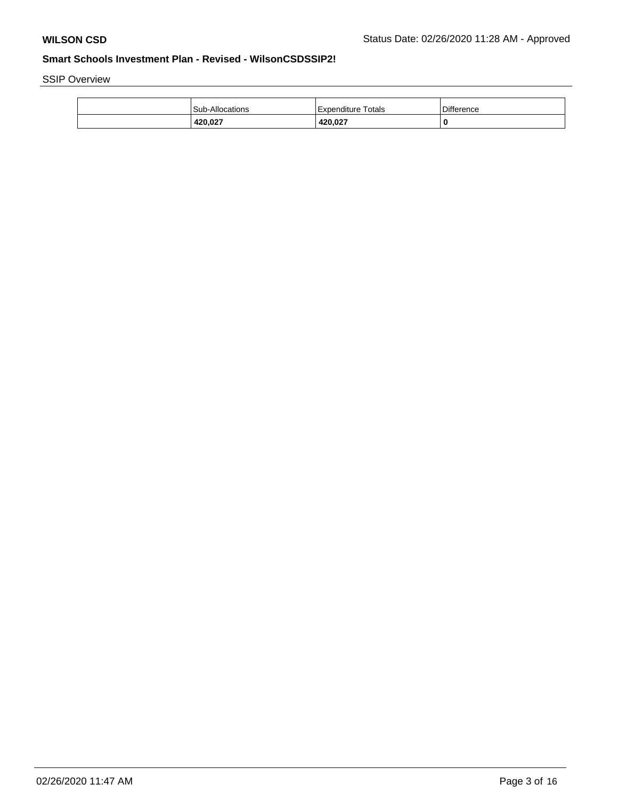SSIP Overview

| <b>Sub-Allocations</b> | l Expenditure Totals | Difference |
|------------------------|----------------------|------------|
| 420,027                | 420.027              | 0          |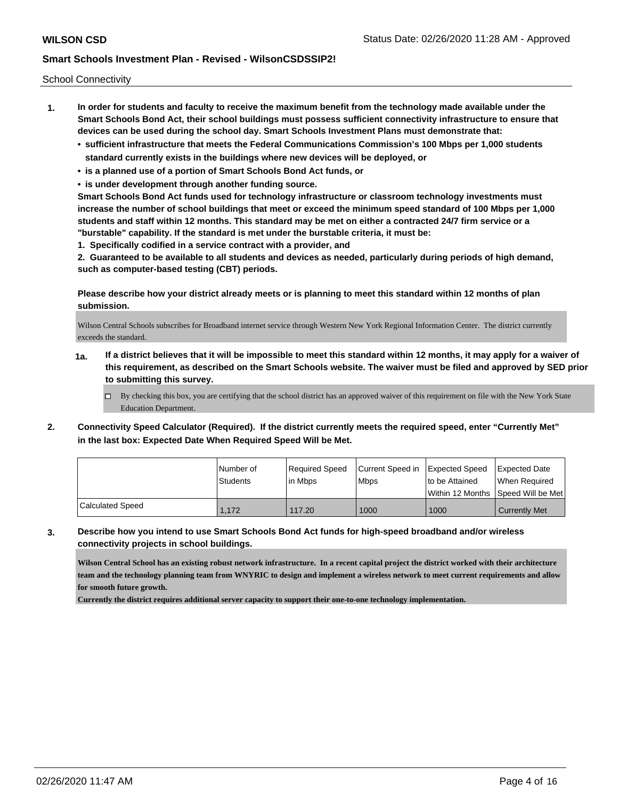School Connectivity

- **1. In order for students and faculty to receive the maximum benefit from the technology made available under the Smart Schools Bond Act, their school buildings must possess sufficient connectivity infrastructure to ensure that devices can be used during the school day. Smart Schools Investment Plans must demonstrate that:**
	- **• sufficient infrastructure that meets the Federal Communications Commission's 100 Mbps per 1,000 students standard currently exists in the buildings where new devices will be deployed, or**
	- **• is a planned use of a portion of Smart Schools Bond Act funds, or**
	- **• is under development through another funding source.**

**Smart Schools Bond Act funds used for technology infrastructure or classroom technology investments must increase the number of school buildings that meet or exceed the minimum speed standard of 100 Mbps per 1,000 students and staff within 12 months. This standard may be met on either a contracted 24/7 firm service or a "burstable" capability. If the standard is met under the burstable criteria, it must be:**

**1. Specifically codified in a service contract with a provider, and**

**2. Guaranteed to be available to all students and devices as needed, particularly during periods of high demand, such as computer-based testing (CBT) periods.**

**Please describe how your district already meets or is planning to meet this standard within 12 months of plan submission.**

Wilson Central Schools subscribes for Broadband internet service through Western New York Regional Information Center. The district currently exceeds the standard.

- **1a. If a district believes that it will be impossible to meet this standard within 12 months, it may apply for a waiver of this requirement, as described on the Smart Schools website. The waiver must be filed and approved by SED prior to submitting this survey.**
	- $\Box$  By checking this box, you are certifying that the school district has an approved waiver of this requirement on file with the New York State Education Department.
- **2. Connectivity Speed Calculator (Required). If the district currently meets the required speed, enter "Currently Met" in the last box: Expected Date When Required Speed Will be Met.**

|                  | l Number of<br><b>Students</b> | Required Speed<br>l in Mbps | Current Speed in Expected Speed<br><b>Mbps</b> | to be Attained | <b>Expected Date</b><br>When Required   |
|------------------|--------------------------------|-----------------------------|------------------------------------------------|----------------|-----------------------------------------|
|                  |                                |                             |                                                |                | l Within 12 Months ISpeed Will be Met l |
| Calculated Speed | 1,172                          | 117.20                      | 1000                                           | 1000           | <b>Currently Met</b>                    |

**3. Describe how you intend to use Smart Schools Bond Act funds for high-speed broadband and/or wireless connectivity projects in school buildings.**

**Wilson Central School has an existing robust network infrastructure. In a recent capital project the district worked with their architecture team and the technology planning team from WNYRIC to design and implement a wireless network to meet current requirements and allow for smooth future growth.**

**Currently the district requires additional server capacity to support their one-to-one technology implementation.**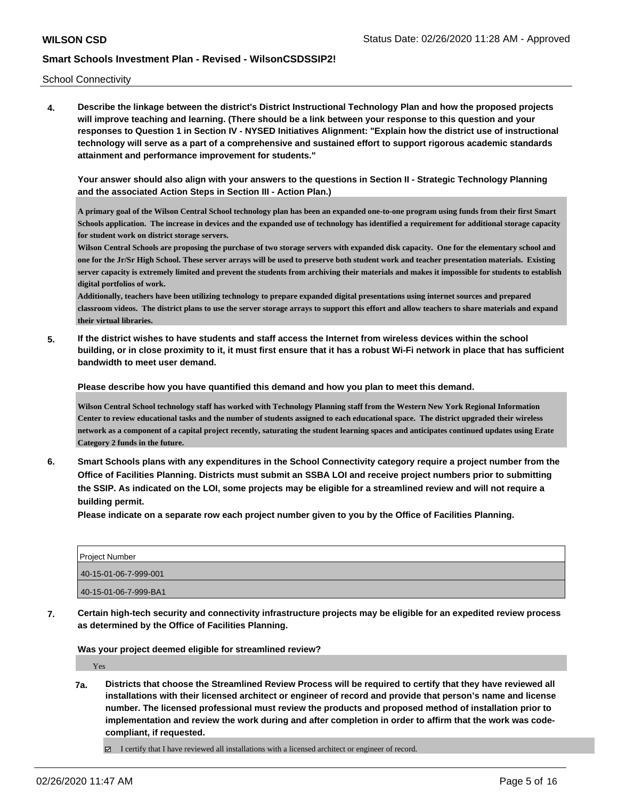School Connectivity

**4. Describe the linkage between the district's District Instructional Technology Plan and how the proposed projects will improve teaching and learning. (There should be a link between your response to this question and your responses to Question 1 in Section IV - NYSED Initiatives Alignment: "Explain how the district use of instructional technology will serve as a part of a comprehensive and sustained effort to support rigorous academic standards attainment and performance improvement for students."** 

**Your answer should also align with your answers to the questions in Section II - Strategic Technology Planning and the associated Action Steps in Section III - Action Plan.)**

**A primary goal of the Wilson Central School technology plan has been an expanded one-to-one program using funds from their first Smart Schools application. The increase in devices and the expanded use of technology has identified a requirement for additional storage capacity for student work on district storage servers.**

**Wilson Central Schools are proposing the purchase of two storage servers with expanded disk capacity. One for the elementary school and one for the Jr/Sr High School. These server arrays will be used to preserve both student work and teacher presentation materials. Existing server capacity is extremely limited and prevent the students from archiving their materials and makes it impossible for students to establish digital portfolios of work.**

**Additionally, teachers have been utilizing technology to prepare expanded digital presentations using internet sources and prepared classroom videos. The district plans to use the server storage arrays to support this effort and allow teachers to share materials and expand their virtual libraries.**

**5. If the district wishes to have students and staff access the Internet from wireless devices within the school building, or in close proximity to it, it must first ensure that it has a robust Wi-Fi network in place that has sufficient bandwidth to meet user demand.**

**Please describe how you have quantified this demand and how you plan to meet this demand.**

**Wilson Central School technology staff has worked with Technology Planning staff from the Western New York Regional Information Center to review educational tasks and the number of students assigned to each educational space. The district upgraded their wireless network as a component of a capital project recently, saturating the student learning spaces and anticipates continued updates using Erate Category 2 funds in the future.**

**6. Smart Schools plans with any expenditures in the School Connectivity category require a project number from the Office of Facilities Planning. Districts must submit an SSBA LOI and receive project numbers prior to submitting the SSIP. As indicated on the LOI, some projects may be eligible for a streamlined review and will not require a building permit.**

**Please indicate on a separate row each project number given to you by the Office of Facilities Planning.**

| Project Number        |  |
|-----------------------|--|
| 40-15-01-06-7-999-001 |  |
| 40-15-01-06-7-999-BA1 |  |

**7. Certain high-tech security and connectivity infrastructure projects may be eligible for an expedited review process as determined by the Office of Facilities Planning.**

**Was your project deemed eligible for streamlined review?**

Yes

**7a. Districts that choose the Streamlined Review Process will be required to certify that they have reviewed all installations with their licensed architect or engineer of record and provide that person's name and license number. The licensed professional must review the products and proposed method of installation prior to implementation and review the work during and after completion in order to affirm that the work was codecompliant, if requested.**

I certify that I have reviewed all installations with a licensed architect or engineer of record.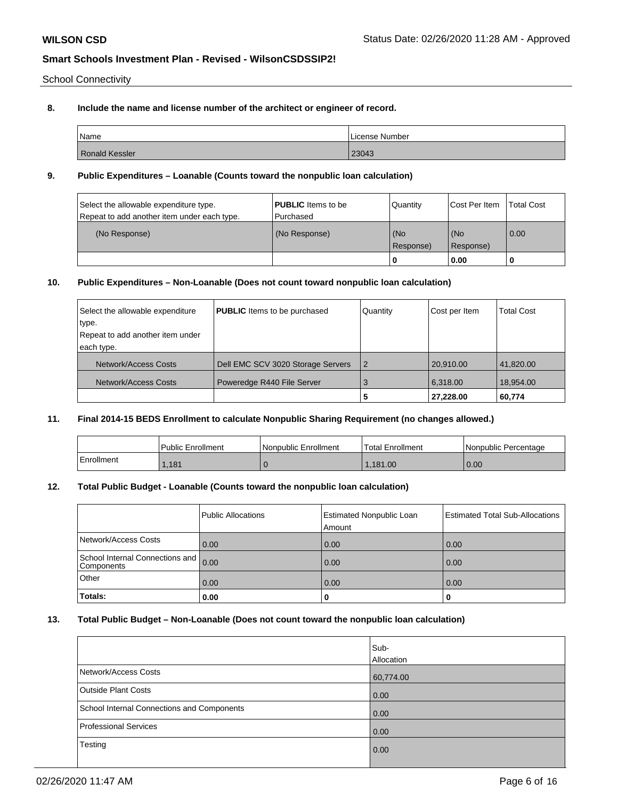School Connectivity

# **8. Include the name and license number of the architect or engineer of record.**

| Name                  | License Number |
|-----------------------|----------------|
| <b>Ronald Kessler</b> | 23043          |

### **9. Public Expenditures – Loanable (Counts toward the nonpublic loan calculation)**

| Select the allowable expenditure type.<br>Repeat to add another item under each type. | <b>PUBLIC</b> Items to be<br>l Purchased | Quantity         | Cost Per Item    | <b>Total Cost</b> |
|---------------------------------------------------------------------------------------|------------------------------------------|------------------|------------------|-------------------|
| (No Response)                                                                         | (No Response)                            | (No<br>Response) | (No<br>Response) | $\overline{0.00}$ |
|                                                                                       |                                          | 0                | 0.00             |                   |

# **10. Public Expenditures – Non-Loanable (Does not count toward nonpublic loan calculation)**

| Select the allowable expenditure | <b>PUBLIC</b> Items to be purchased | Quantity       | Cost per Item | <b>Total Cost</b> |
|----------------------------------|-------------------------------------|----------------|---------------|-------------------|
| type.                            |                                     |                |               |                   |
| Repeat to add another item under |                                     |                |               |                   |
| each type.                       |                                     |                |               |                   |
| Network/Access Costs             | Dell EMC SCV 3020 Storage Servers   | $\overline{2}$ | 20.910.00     | 41,820.00         |
| Network/Access Costs             | Poweredge R440 File Server          | 3              | 6.318.00      | 18.954.00         |
|                                  |                                     | 5              | 27,228.00     | 60,774            |

#### **11. Final 2014-15 BEDS Enrollment to calculate Nonpublic Sharing Requirement (no changes allowed.)**

|            | <b>Public Enrollment</b> | Nonpublic Enrollment | 'Total Enrollment | l Nonpublic Percentage |
|------------|--------------------------|----------------------|-------------------|------------------------|
| Enrollment | .181                     |                      | .181.00           | 0.00                   |

### **12. Total Public Budget - Loanable (Counts toward the nonpublic loan calculation)**

|                                               | Public Allocations | <b>Estimated Nonpublic Loan</b><br>Amount | <b>Estimated Total Sub-Allocations</b> |
|-----------------------------------------------|--------------------|-------------------------------------------|----------------------------------------|
| Network/Access Costs                          | 0.00               | 0.00                                      | 0.00                                   |
| School Internal Connections and<br>Components | 0.00               | 0.00                                      | 0.00                                   |
| <b>Other</b>                                  | 0.00               | 0.00                                      | 0.00                                   |
| <b>Totals:</b>                                | 0.00               | U                                         | 0                                      |

## **13. Total Public Budget – Non-Loanable (Does not count toward the nonpublic loan calculation)**

|                                            | Sub-<br>Allocation |
|--------------------------------------------|--------------------|
| Network/Access Costs                       | 60,774.00          |
| <b>Outside Plant Costs</b>                 | 0.00               |
| School Internal Connections and Components | 0.00               |
| Professional Services                      | $\overline{0.00}$  |
| Testing                                    | 0.00               |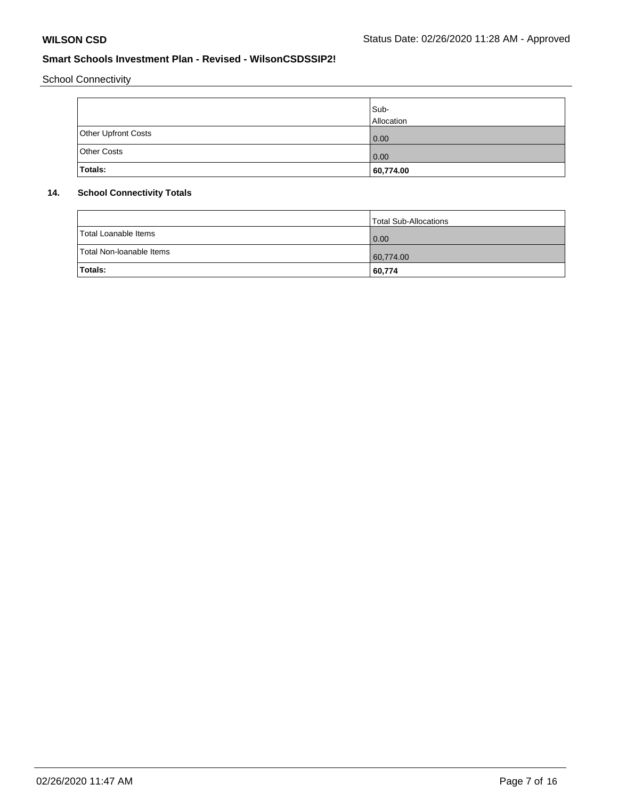School Connectivity

|                     | Sub-<br>Allocation |
|---------------------|--------------------|
| Other Upfront Costs | 0.00               |
| <b>Other Costs</b>  | 0.00               |
| Totals:             | 60,774.00          |

## **14. School Connectivity Totals**

|                          | Total Sub-Allocations |
|--------------------------|-----------------------|
| Total Loanable Items     | $\overline{0.00}$     |
| Total Non-Ioanable Items | 60,774.00             |
| Totals:                  | 60,774                |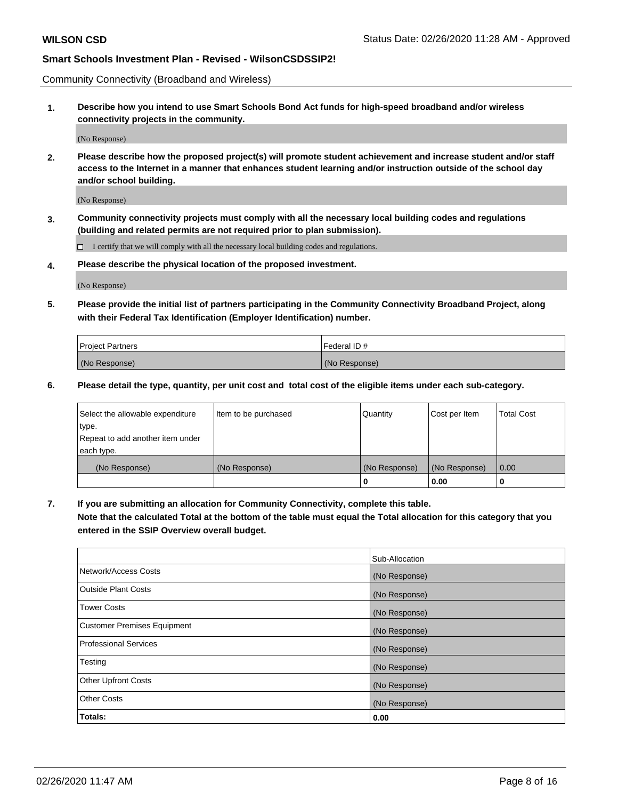Community Connectivity (Broadband and Wireless)

**1. Describe how you intend to use Smart Schools Bond Act funds for high-speed broadband and/or wireless connectivity projects in the community.**

(No Response)

**2. Please describe how the proposed project(s) will promote student achievement and increase student and/or staff access to the Internet in a manner that enhances student learning and/or instruction outside of the school day and/or school building.**

(No Response)

**3. Community connectivity projects must comply with all the necessary local building codes and regulations (building and related permits are not required prior to plan submission).**

 $\Box$  I certify that we will comply with all the necessary local building codes and regulations.

**4. Please describe the physical location of the proposed investment.**

(No Response)

**5. Please provide the initial list of partners participating in the Community Connectivity Broadband Project, along with their Federal Tax Identification (Employer Identification) number.**

| <b>Project Partners</b> | l Federal ID # |
|-------------------------|----------------|
| (No Response)           | (No Response)  |

**6. Please detail the type, quantity, per unit cost and total cost of the eligible items under each sub-category.**

| Select the allowable expenditure | Item to be purchased | Quantity      | Cost per Item | <b>Total Cost</b> |
|----------------------------------|----------------------|---------------|---------------|-------------------|
| type.                            |                      |               |               |                   |
| Repeat to add another item under |                      |               |               |                   |
| each type.                       |                      |               |               |                   |
| (No Response)                    | (No Response)        | (No Response) | (No Response) | 0.00              |
|                                  |                      | U             | 0.00          |                   |

**7. If you are submitting an allocation for Community Connectivity, complete this table.**

**Note that the calculated Total at the bottom of the table must equal the Total allocation for this category that you entered in the SSIP Overview overall budget.**

|                                    | Sub-Allocation |
|------------------------------------|----------------|
| Network/Access Costs               | (No Response)  |
| Outside Plant Costs                | (No Response)  |
| <b>Tower Costs</b>                 | (No Response)  |
| <b>Customer Premises Equipment</b> | (No Response)  |
| <b>Professional Services</b>       | (No Response)  |
| Testing                            | (No Response)  |
| <b>Other Upfront Costs</b>         | (No Response)  |
| <b>Other Costs</b>                 | (No Response)  |
| Totals:                            | 0.00           |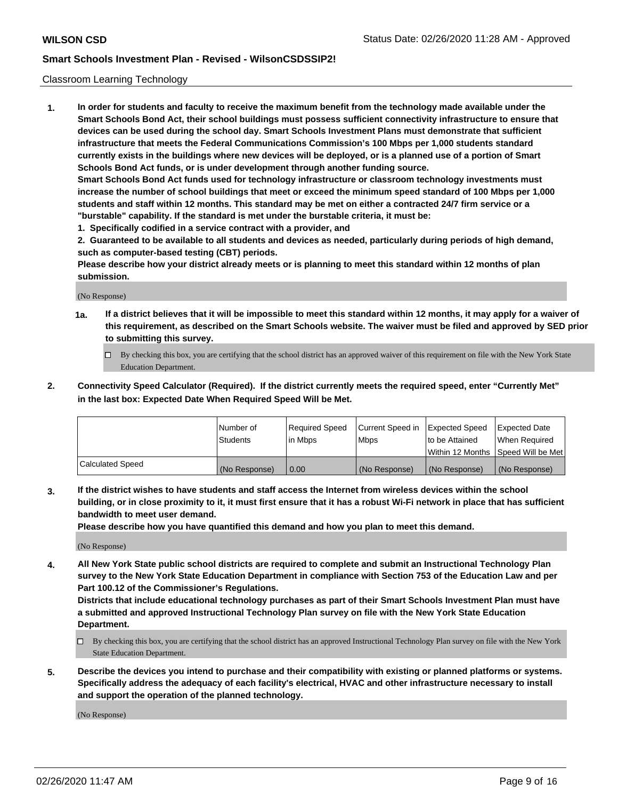#### Classroom Learning Technology

**1. In order for students and faculty to receive the maximum benefit from the technology made available under the Smart Schools Bond Act, their school buildings must possess sufficient connectivity infrastructure to ensure that devices can be used during the school day. Smart Schools Investment Plans must demonstrate that sufficient infrastructure that meets the Federal Communications Commission's 100 Mbps per 1,000 students standard currently exists in the buildings where new devices will be deployed, or is a planned use of a portion of Smart Schools Bond Act funds, or is under development through another funding source. Smart Schools Bond Act funds used for technology infrastructure or classroom technology investments must increase the number of school buildings that meet or exceed the minimum speed standard of 100 Mbps per 1,000 students and staff within 12 months. This standard may be met on either a contracted 24/7 firm service or a "burstable" capability. If the standard is met under the burstable criteria, it must be:**

**1. Specifically codified in a service contract with a provider, and**

**2. Guaranteed to be available to all students and devices as needed, particularly during periods of high demand, such as computer-based testing (CBT) periods.**

**Please describe how your district already meets or is planning to meet this standard within 12 months of plan submission.**

(No Response)

- **1a. If a district believes that it will be impossible to meet this standard within 12 months, it may apply for a waiver of this requirement, as described on the Smart Schools website. The waiver must be filed and approved by SED prior to submitting this survey.**
	- By checking this box, you are certifying that the school district has an approved waiver of this requirement on file with the New York State Education Department.
- **2. Connectivity Speed Calculator (Required). If the district currently meets the required speed, enter "Currently Met" in the last box: Expected Date When Required Speed Will be Met.**

|                  | l Number of     | Required Speed | Current Speed in | <b>Expected Speed</b> | <b>Expected Date</b>                |
|------------------|-----------------|----------------|------------------|-----------------------|-------------------------------------|
|                  | <b>Students</b> | l in Mbps      | l Mbps           | to be Attained        | When Required                       |
|                  |                 |                |                  |                       | Within 12 Months  Speed Will be Met |
| Calculated Speed | (No Response)   | 0.00           | (No Response)    | l (No Response)       | (No Response)                       |

**3. If the district wishes to have students and staff access the Internet from wireless devices within the school building, or in close proximity to it, it must first ensure that it has a robust Wi-Fi network in place that has sufficient bandwidth to meet user demand.**

**Please describe how you have quantified this demand and how you plan to meet this demand.**

(No Response)

**4. All New York State public school districts are required to complete and submit an Instructional Technology Plan survey to the New York State Education Department in compliance with Section 753 of the Education Law and per Part 100.12 of the Commissioner's Regulations.**

**Districts that include educational technology purchases as part of their Smart Schools Investment Plan must have a submitted and approved Instructional Technology Plan survey on file with the New York State Education Department.**

- By checking this box, you are certifying that the school district has an approved Instructional Technology Plan survey on file with the New York State Education Department.
- **5. Describe the devices you intend to purchase and their compatibility with existing or planned platforms or systems. Specifically address the adequacy of each facility's electrical, HVAC and other infrastructure necessary to install and support the operation of the planned technology.**

(No Response)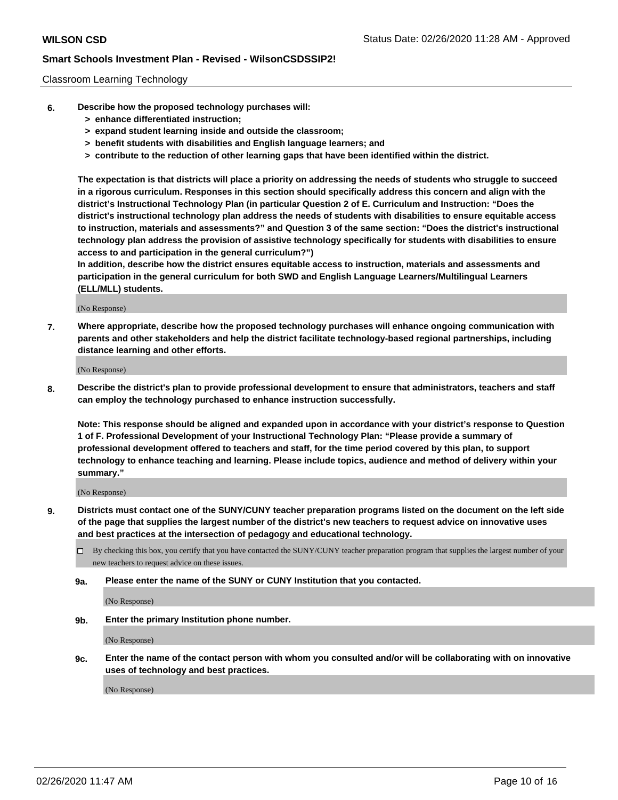#### Classroom Learning Technology

- **6. Describe how the proposed technology purchases will:**
	- **> enhance differentiated instruction;**
	- **> expand student learning inside and outside the classroom;**
	- **> benefit students with disabilities and English language learners; and**
	- **> contribute to the reduction of other learning gaps that have been identified within the district.**

**The expectation is that districts will place a priority on addressing the needs of students who struggle to succeed in a rigorous curriculum. Responses in this section should specifically address this concern and align with the district's Instructional Technology Plan (in particular Question 2 of E. Curriculum and Instruction: "Does the district's instructional technology plan address the needs of students with disabilities to ensure equitable access to instruction, materials and assessments?" and Question 3 of the same section: "Does the district's instructional technology plan address the provision of assistive technology specifically for students with disabilities to ensure access to and participation in the general curriculum?")**

**In addition, describe how the district ensures equitable access to instruction, materials and assessments and participation in the general curriculum for both SWD and English Language Learners/Multilingual Learners (ELL/MLL) students.**

(No Response)

**7. Where appropriate, describe how the proposed technology purchases will enhance ongoing communication with parents and other stakeholders and help the district facilitate technology-based regional partnerships, including distance learning and other efforts.**

(No Response)

**8. Describe the district's plan to provide professional development to ensure that administrators, teachers and staff can employ the technology purchased to enhance instruction successfully.**

**Note: This response should be aligned and expanded upon in accordance with your district's response to Question 1 of F. Professional Development of your Instructional Technology Plan: "Please provide a summary of professional development offered to teachers and staff, for the time period covered by this plan, to support technology to enhance teaching and learning. Please include topics, audience and method of delivery within your summary."**

(No Response)

- **9. Districts must contact one of the SUNY/CUNY teacher preparation programs listed on the document on the left side of the page that supplies the largest number of the district's new teachers to request advice on innovative uses and best practices at the intersection of pedagogy and educational technology.**
	- By checking this box, you certify that you have contacted the SUNY/CUNY teacher preparation program that supplies the largest number of your new teachers to request advice on these issues.
	- **9a. Please enter the name of the SUNY or CUNY Institution that you contacted.**

(No Response)

**9b. Enter the primary Institution phone number.**

(No Response)

**9c. Enter the name of the contact person with whom you consulted and/or will be collaborating with on innovative uses of technology and best practices.**

(No Response)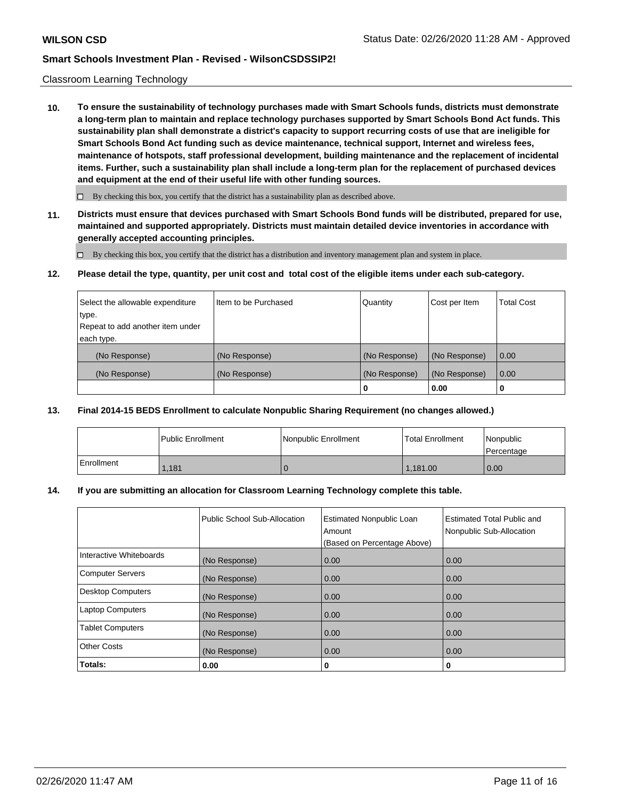#### Classroom Learning Technology

**10. To ensure the sustainability of technology purchases made with Smart Schools funds, districts must demonstrate a long-term plan to maintain and replace technology purchases supported by Smart Schools Bond Act funds. This sustainability plan shall demonstrate a district's capacity to support recurring costs of use that are ineligible for Smart Schools Bond Act funding such as device maintenance, technical support, Internet and wireless fees, maintenance of hotspots, staff professional development, building maintenance and the replacement of incidental items. Further, such a sustainability plan shall include a long-term plan for the replacement of purchased devices and equipment at the end of their useful life with other funding sources.**

 $\Box$  By checking this box, you certify that the district has a sustainability plan as described above.

**11. Districts must ensure that devices purchased with Smart Schools Bond funds will be distributed, prepared for use, maintained and supported appropriately. Districts must maintain detailed device inventories in accordance with generally accepted accounting principles.**

By checking this box, you certify that the district has a distribution and inventory management plan and system in place.

**12. Please detail the type, quantity, per unit cost and total cost of the eligible items under each sub-category.**

| Select the allowable expenditure | I Item to be Purchased | Quantity      | Cost per Item | <b>Total Cost</b> |
|----------------------------------|------------------------|---------------|---------------|-------------------|
| type.                            |                        |               |               |                   |
| Repeat to add another item under |                        |               |               |                   |
| each type.                       |                        |               |               |                   |
| (No Response)                    | (No Response)          | (No Response) | (No Response) | $\overline{0.00}$ |
| (No Response)                    | (No Response)          | (No Response) | (No Response) | $\overline{0.00}$ |
|                                  |                        | o             | 0.00          | U                 |

#### **13. Final 2014-15 BEDS Enrollment to calculate Nonpublic Sharing Requirement (no changes allowed.)**

|            | l Public Enrollment | Nonpublic Enrollment | l Total Enrollment | l Nonpublic<br>Percentage |
|------------|---------------------|----------------------|--------------------|---------------------------|
| Enrollment | 1.181               |                      | 1.181.00           | 0.00                      |

#### **14. If you are submitting an allocation for Classroom Learning Technology complete this table.**

|                          | Public School Sub-Allocation | <b>Estimated Nonpublic Loan</b><br>Amount<br>(Based on Percentage Above) | <b>Estimated Total Public and</b><br>Nonpublic Sub-Allocation |
|--------------------------|------------------------------|--------------------------------------------------------------------------|---------------------------------------------------------------|
| Interactive Whiteboards  | (No Response)                | 0.00                                                                     | 0.00                                                          |
| <b>Computer Servers</b>  | (No Response)                | 0.00                                                                     | 0.00                                                          |
| <b>Desktop Computers</b> | (No Response)                | 0.00                                                                     | 0.00                                                          |
| <b>Laptop Computers</b>  | (No Response)                | 0.00                                                                     | 0.00                                                          |
| <b>Tablet Computers</b>  | (No Response)                | 0.00                                                                     | 0.00                                                          |
| <b>Other Costs</b>       | (No Response)                | 0.00                                                                     | 0.00                                                          |
| Totals:                  | 0.00                         | 0                                                                        | 0                                                             |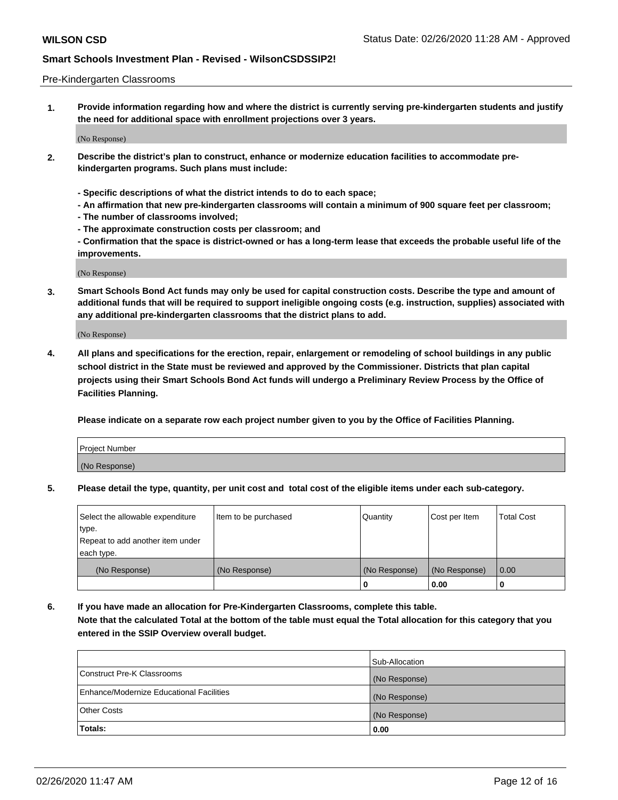#### Pre-Kindergarten Classrooms

**1. Provide information regarding how and where the district is currently serving pre-kindergarten students and justify the need for additional space with enrollment projections over 3 years.**

(No Response)

- **2. Describe the district's plan to construct, enhance or modernize education facilities to accommodate prekindergarten programs. Such plans must include:**
	- **Specific descriptions of what the district intends to do to each space;**
	- **An affirmation that new pre-kindergarten classrooms will contain a minimum of 900 square feet per classroom;**
	- **The number of classrooms involved;**
	- **The approximate construction costs per classroom; and**
	- **Confirmation that the space is district-owned or has a long-term lease that exceeds the probable useful life of the improvements.**

(No Response)

**3. Smart Schools Bond Act funds may only be used for capital construction costs. Describe the type and amount of additional funds that will be required to support ineligible ongoing costs (e.g. instruction, supplies) associated with any additional pre-kindergarten classrooms that the district plans to add.**

(No Response)

**4. All plans and specifications for the erection, repair, enlargement or remodeling of school buildings in any public school district in the State must be reviewed and approved by the Commissioner. Districts that plan capital projects using their Smart Schools Bond Act funds will undergo a Preliminary Review Process by the Office of Facilities Planning.**

**Please indicate on a separate row each project number given to you by the Office of Facilities Planning.**

| Project Number |  |
|----------------|--|
| (No Response)  |  |
|                |  |

**5. Please detail the type, quantity, per unit cost and total cost of the eligible items under each sub-category.**

| Select the allowable expenditure | Item to be purchased | Quantity      | Cost per Item | <b>Total Cost</b> |
|----------------------------------|----------------------|---------------|---------------|-------------------|
| type.                            |                      |               |               |                   |
| Repeat to add another item under |                      |               |               |                   |
| each type.                       |                      |               |               |                   |
| (No Response)                    | (No Response)        | (No Response) | (No Response) | 0.00              |
|                                  |                      | U             | 0.00          |                   |

**6. If you have made an allocation for Pre-Kindergarten Classrooms, complete this table. Note that the calculated Total at the bottom of the table must equal the Total allocation for this category that you entered in the SSIP Overview overall budget.**

| Totals:                                  | 0.00           |
|------------------------------------------|----------------|
| <b>Other Costs</b>                       | (No Response)  |
| Enhance/Modernize Educational Facilities | (No Response)  |
| Construct Pre-K Classrooms               | (No Response)  |
|                                          | Sub-Allocation |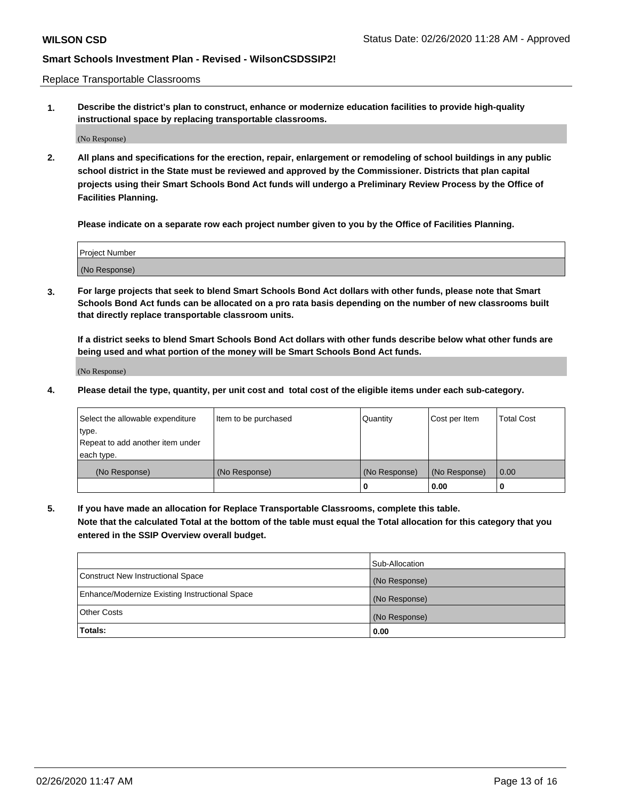Replace Transportable Classrooms

**1. Describe the district's plan to construct, enhance or modernize education facilities to provide high-quality instructional space by replacing transportable classrooms.**

(No Response)

**2. All plans and specifications for the erection, repair, enlargement or remodeling of school buildings in any public school district in the State must be reviewed and approved by the Commissioner. Districts that plan capital projects using their Smart Schools Bond Act funds will undergo a Preliminary Review Process by the Office of Facilities Planning.**

**Please indicate on a separate row each project number given to you by the Office of Facilities Planning.**

| Project Number |  |
|----------------|--|
|                |  |
|                |  |
|                |  |
| (No Response)  |  |
|                |  |
|                |  |

**3. For large projects that seek to blend Smart Schools Bond Act dollars with other funds, please note that Smart Schools Bond Act funds can be allocated on a pro rata basis depending on the number of new classrooms built that directly replace transportable classroom units.**

**If a district seeks to blend Smart Schools Bond Act dollars with other funds describe below what other funds are being used and what portion of the money will be Smart Schools Bond Act funds.**

(No Response)

**4. Please detail the type, quantity, per unit cost and total cost of the eligible items under each sub-category.**

| Select the allowable expenditure | Item to be purchased | Quantity      | Cost per Item | Total Cost |
|----------------------------------|----------------------|---------------|---------------|------------|
| ∣type.                           |                      |               |               |            |
| Repeat to add another item under |                      |               |               |            |
| each type.                       |                      |               |               |            |
| (No Response)                    | (No Response)        | (No Response) | (No Response) | 0.00       |
|                                  |                      | u             | 0.00          |            |

**5. If you have made an allocation for Replace Transportable Classrooms, complete this table. Note that the calculated Total at the bottom of the table must equal the Total allocation for this category that you entered in the SSIP Overview overall budget.**

|                                                | Sub-Allocation |
|------------------------------------------------|----------------|
| Construct New Instructional Space              | (No Response)  |
| Enhance/Modernize Existing Instructional Space | (No Response)  |
| Other Costs                                    | (No Response)  |
| Totals:                                        | 0.00           |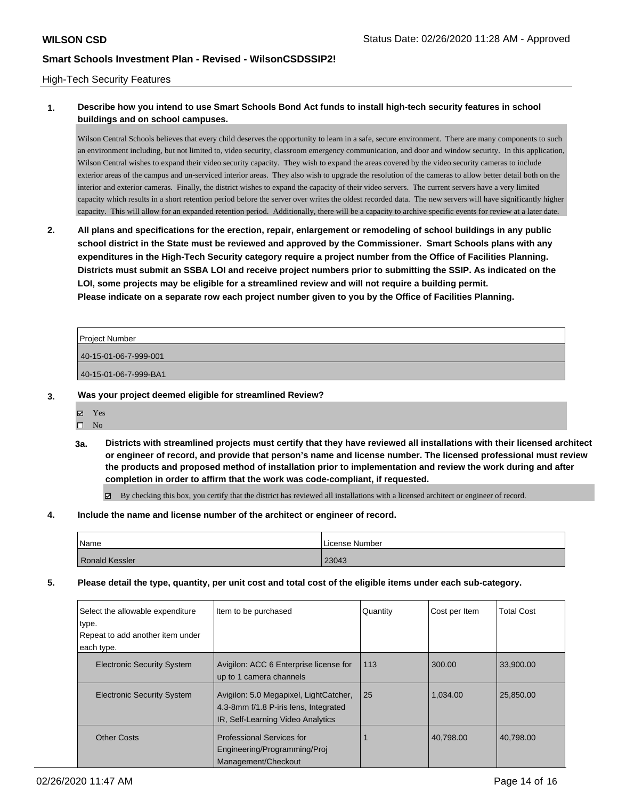#### High-Tech Security Features

# **1. Describe how you intend to use Smart Schools Bond Act funds to install high-tech security features in school buildings and on school campuses.**

Wilson Central Schools believes that every child deserves the opportunity to learn in a safe, secure environment. There are many components to such an environment including, but not limited to, video security, classroom emergency communication, and door and window security. In this application, Wilson Central wishes to expand their video security capacity. They wish to expand the areas covered by the video security cameras to include exterior areas of the campus and un-serviced interior areas. They also wish to upgrade the resolution of the cameras to allow better detail both on the interior and exterior cameras. Finally, the district wishes to expand the capacity of their video servers. The current servers have a very limited capacity which results in a short retention period before the server over writes the oldest recorded data. The new servers will have significantly higher capacity. This will allow for an expanded retention period. Additionally, there will be a capacity to archive specific events for review at a later date.

**2. All plans and specifications for the erection, repair, enlargement or remodeling of school buildings in any public school district in the State must be reviewed and approved by the Commissioner. Smart Schools plans with any expenditures in the High-Tech Security category require a project number from the Office of Facilities Planning. Districts must submit an SSBA LOI and receive project numbers prior to submitting the SSIP. As indicated on the LOI, some projects may be eligible for a streamlined review and will not require a building permit. Please indicate on a separate row each project number given to you by the Office of Facilities Planning.**

| <b>Project Number</b> |  |
|-----------------------|--|
| 40-15-01-06-7-999-001 |  |
| 40-15-01-06-7-999-BA1 |  |
|                       |  |

### **3. Was your project deemed eligible for streamlined Review?**

- Yes
- $\square$  No
- **3a. Districts with streamlined projects must certify that they have reviewed all installations with their licensed architect or engineer of record, and provide that person's name and license number. The licensed professional must review the products and proposed method of installation prior to implementation and review the work during and after completion in order to affirm that the work was code-compliant, if requested.**

By checking this box, you certify that the district has reviewed all installations with a licensed architect or engineer of record.

#### **4. Include the name and license number of the architect or engineer of record.**

| Name                  | License Number |
|-----------------------|----------------|
| <b>Ronald Kessler</b> | 23043          |

### **5. Please detail the type, quantity, per unit cost and total cost of the eligible items under each sub-category.**

| Select the allowable expenditure<br>type.<br>Repeat to add another item under | Item to be purchased                                                                                                 | Quantity | Cost per Item | <b>Total Cost</b> |
|-------------------------------------------------------------------------------|----------------------------------------------------------------------------------------------------------------------|----------|---------------|-------------------|
| each type.                                                                    |                                                                                                                      |          |               |                   |
| <b>Electronic Security System</b>                                             | Avigilon: ACC 6 Enterprise license for<br>up to 1 camera channels                                                    | 113      | 300.00        | 33,900.00         |
| <b>Electronic Security System</b>                                             | Avigilon: 5.0 Megapixel, LightCatcher,<br>4.3-8mm f/1.8 P-iris lens, Integrated<br>IR, Self-Learning Video Analytics | 25       | 1.034.00      | 25.850.00         |
| <b>Other Costs</b>                                                            | <b>Professional Services for</b><br>Engineering/Programming/Proj<br>Management/Checkout                              |          | 40.798.00     | 40,798.00         |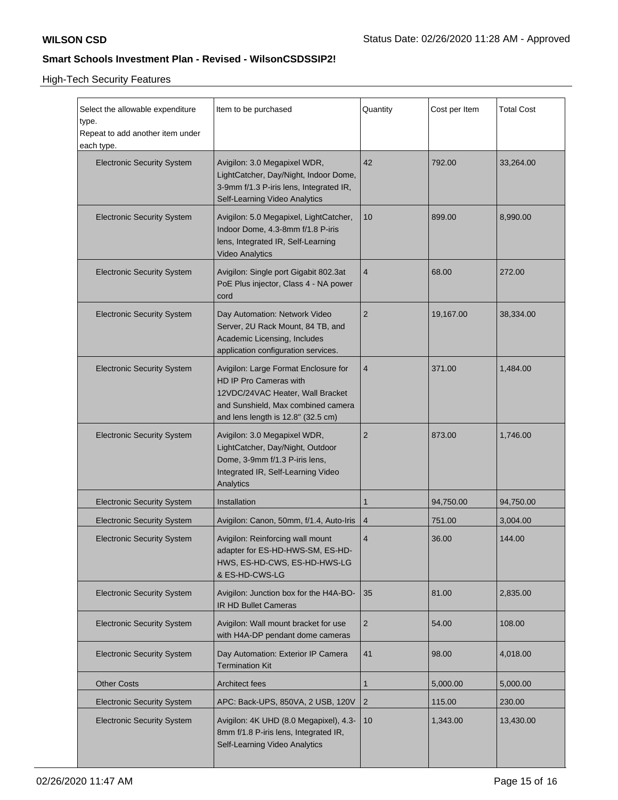High-Tech Security Features

| Select the allowable expenditure<br>type.<br>Repeat to add another item under<br>each type. | Item to be purchased                                                                                                                                                           | Quantity       | Cost per Item | <b>Total Cost</b> |
|---------------------------------------------------------------------------------------------|--------------------------------------------------------------------------------------------------------------------------------------------------------------------------------|----------------|---------------|-------------------|
| <b>Electronic Security System</b>                                                           | Avigilon: 3.0 Megapixel WDR,<br>LightCatcher, Day/Night, Indoor Dome,<br>3-9mm f/1.3 P-iris lens, Integrated IR,<br>Self-Learning Video Analytics                              | 42             | 792.00        | 33,264.00         |
| <b>Electronic Security System</b>                                                           | Avigilon: 5.0 Megapixel, LightCatcher,<br>Indoor Dome, 4.3-8mm f/1.8 P-iris<br>lens, Integrated IR, Self-Learning<br><b>Video Analytics</b>                                    | 10             | 899.00        | 8,990.00          |
| <b>Electronic Security System</b>                                                           | Avigilon: Single port Gigabit 802.3at<br>PoE Plus injector, Class 4 - NA power<br>cord                                                                                         | $\overline{4}$ | 68.00         | 272.00            |
| <b>Electronic Security System</b>                                                           | Day Automation: Network Video<br>Server, 2U Rack Mount, 84 TB, and<br>Academic Licensing, Includes<br>application configuration services.                                      | $\overline{2}$ | 19,167.00     | 38,334.00         |
| <b>Electronic Security System</b>                                                           | Avigilon: Large Format Enclosure for<br>HD IP Pro Cameras with<br>12VDC/24VAC Heater, Wall Bracket<br>and Sunshield, Max combined camera<br>and lens length is 12.8" (32.5 cm) | $\overline{4}$ | 371.00        | 1,484.00          |
| <b>Electronic Security System</b>                                                           | Avigilon: 3.0 Megapixel WDR,<br>LightCatcher, Day/Night, Outdoor<br>Dome, 3-9mm f/1.3 P-iris lens,<br>Integrated IR, Self-Learning Video<br>Analytics                          | $\overline{2}$ | 873.00        | 1,746.00          |
| <b>Electronic Security System</b>                                                           | Installation                                                                                                                                                                   | $\mathbf 1$    | 94,750.00     | 94,750.00         |
| <b>Electronic Security System</b>                                                           | Avigilon: Canon, 50mm, f/1.4, Auto-Iris                                                                                                                                        | 4              | 751.00        | 3,004.00          |
| <b>Electronic Security System</b>                                                           | Avigilon: Reinforcing wall mount<br>adapter for ES-HD-HWS-SM, ES-HD-<br>HWS, ES-HD-CWS, ES-HD-HWS-LG<br>& ES-HD-CWS-LG                                                         | 4              | 36.00         | 144.00            |
| <b>Electronic Security System</b>                                                           | Avigilon: Junction box for the H4A-BO-<br>IR HD Bullet Cameras                                                                                                                 | 35             | 81.00         | 2,835.00          |
| <b>Electronic Security System</b>                                                           | Avigilon: Wall mount bracket for use<br>with H4A-DP pendant dome cameras                                                                                                       | $\overline{2}$ | 54.00         | 108.00            |
| <b>Electronic Security System</b>                                                           | Day Automation: Exterior IP Camera<br><b>Termination Kit</b>                                                                                                                   | 41             | 98.00         | 4,018.00          |
| <b>Other Costs</b>                                                                          | <b>Architect fees</b>                                                                                                                                                          | 1              | 5,000.00      | 5,000.00          |
| <b>Electronic Security System</b>                                                           | APC: Back-UPS, 850VA, 2 USB, 120V                                                                                                                                              | $\overline{2}$ | 115.00        | 230.00            |
| <b>Electronic Security System</b>                                                           | Avigilon: 4K UHD (8.0 Megapixel), 4.3-<br>8mm f/1.8 P-iris lens, Integrated IR,<br>Self-Learning Video Analytics                                                               | 10             | 1,343.00      | 13,430.00         |